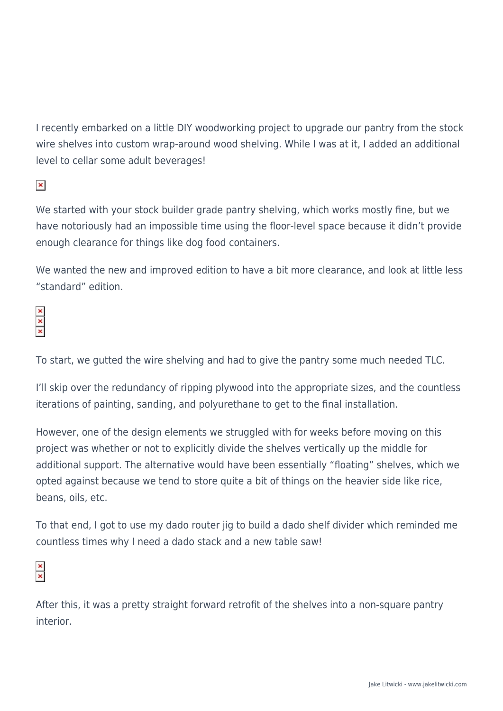I recently embarked on a little DIY woodworking project to upgrade our pantry from the stock wire shelves into custom wrap-around wood shelving. While I was at it, I added an additional level to cellar some adult beverages!

 $\pmb{\times}$ 

We started with your stock builder grade pantry shelving, which works mostly fine, but we have notoriously had an impossible time using the floor-level space because it didn't provide enough clearance for things like dog food containers.

We wanted the new and improved edition to have a bit more clearance, and look at little less "standard" edition.

To start, we gutted the wire shelving and had to give the pantry some much needed TLC.

I'll skip over the redundancy of ripping plywood into the appropriate sizes, and the countless iterations of painting, sanding, and polyurethane to get to the final installation.

However, one of the design elements we struggled with for weeks before moving on this project was whether or not to explicitly divide the shelves vertically up the middle for additional support. The alternative would have been essentially "floating" shelves, which we opted against because we tend to store quite a bit of things on the heavier side like rice, beans, oils, etc.

To that end, I got to use my dado router jig to build a dado shelf divider which reminded me countless times why I need a dado stack and a new table saw!

After this, it was a pretty straight forward retrofit of the shelves into a non-square pantry interior.